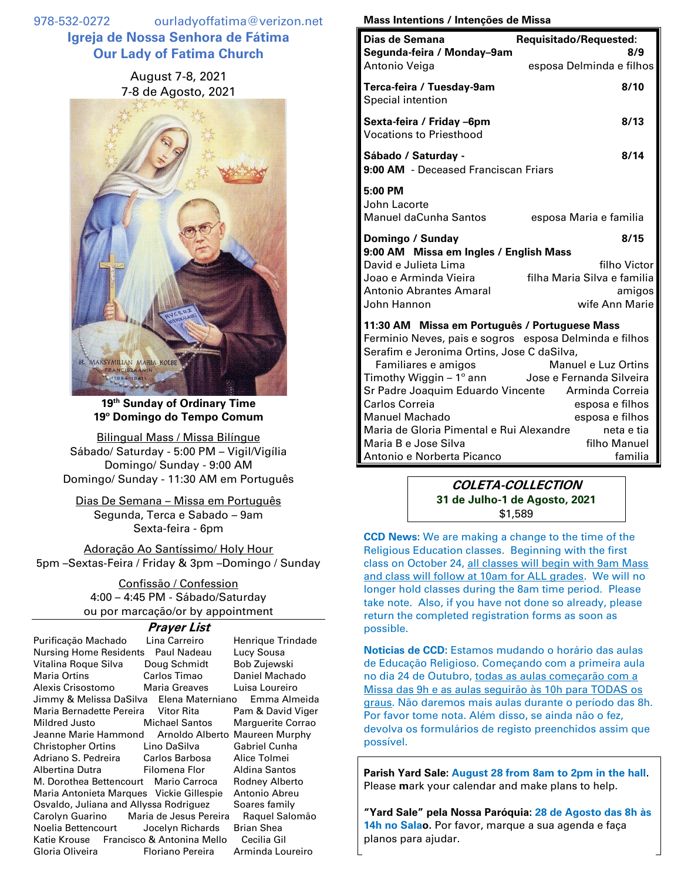978-532-0272 ourladyoffatima@verizon.net **Igreja de Nossa Senhora de Fátima Our Lady of Fatima Church**

> August 7-8, 2021 7-8 de Agosto, 2021



**19 th Sunday of Ordinary Time 19º Domingo do Tempo Comum**

Bilingual Mass / Missa Bilíngue Sábado/ Saturday - 5:00 PM – Vigil/Vigília Domingo/ Sunday - 9:00 AM Domingo/ Sunday - 11:30 AM em Português

Dias De Semana – Missa em Português Segunda, Terca e Sabado – 9am Sexta-feira - 6pm

Adoração Ao Santíssimo/ Holy Hour 5pm –Sextas-Feira / Friday & 3pm –Domingo / Sunday

> Confissão / Confession 4:00 – 4:45 PM - Sábado/Saturday ou por marcação/or by appointment

## **Prayer List**

| Purificação Machado                      | Lina Carreiro           | Henrique Trindade |
|------------------------------------------|-------------------------|-------------------|
| Nursing Home Residents                   | Paul Nadeau             | Lucy Sousa        |
| Vitalina Roque Silva                     | Doug Schmidt            | Bob Zujewski      |
| <b>Maria Ortins</b>                      | Carlos Timao            | Daniel Machado    |
| Alexis Crisostomo                        | <b>Maria Greaves</b>    | Luisa Loureiro    |
| Jimmy & Melissa DaSilva Elena Materniano |                         | Emma Almeida      |
| Maria Bernadette Pereira Vitor Rita      |                         | Pam & David Viger |
| Mildred Justo                            | <b>Michael Santos</b>   | Marguerite Corrao |
| Jeanne Marie Hammond                     | Arnoldo Alberto         | Maureen Murphy    |
| Christopher Ortins Lino DaSilva          |                         | Gabriel Cunha     |
| Adriano S. Pedreira Carlos Barbosa       |                         | Alice Tolmei      |
| Albertina Dutra <b>Elgermena Flor</b>    |                         | Aldina Santos     |
| M. Dorothea Bettencourt Mario Carroca    |                         | Rodney Alberto    |
| Maria Antonieta Marques Vickie Gillespie |                         | Antonio Abreu     |
| Osvaldo, Juliana and Allyssa Rodriguez   |                         | Soares family     |
| Carolyn Guarino Maria de Jesus Pereira   |                         | Raguel Salomão    |
| Noelia Bettencourt Jocelyn Richards      |                         | <b>Brian Shea</b> |
| Katie Krouse Francisco & Antonina Mello  |                         | Cecilia Gil       |
| Gloria Oliveira <b>contra</b>            | <b>Floriano Pereira</b> | Arminda Loureiro  |

## **Mass Intentions / Intenções de Missa**

| Dias de Semana<br>Segunda-feira / Monday-9am<br>Antonio Veiga                                                                                                                                                                                                                         | Requisitado/Requested:<br>8/9<br>esposa Delminda e filhos                       |
|---------------------------------------------------------------------------------------------------------------------------------------------------------------------------------------------------------------------------------------------------------------------------------------|---------------------------------------------------------------------------------|
| Terca-feira / Tuesday-9am<br>Special intention                                                                                                                                                                                                                                        | 8/10                                                                            |
| Sexta-feira / Friday –6pm<br><b>Vocations to Priesthood</b>                                                                                                                                                                                                                           | 8/13                                                                            |
| Sábado / Saturday -<br>9:00 AM - Deceased Franciscan Friars                                                                                                                                                                                                                           | 8/14                                                                            |
| 5:00 PM<br>John Lacorte<br><b>Manuel daCunha Santos</b>                                                                                                                                                                                                                               | esposa Maria e familia                                                          |
| Domingo / Sunday<br>9:00 AM Missa em Ingles / English Mass<br>David e Julieta Lima<br>Joao e Arminda Vieira<br><b>Antonio Abrantes Amaral</b><br>John Hannon                                                                                                                          | 8/15<br>filho Victor<br>filha Maria Silva e familia<br>amigos<br>wife Ann Marie |
| 11:30 AM Missa em Português / Portuguese Mass<br>Ferminio Neves, pais e sogros esposa Delminda e filhos<br>Serafim e Jeronima Ortins, Jose C daSilva,<br>Familiares e amigos<br>Timothy Wiggin - 1º ann Jose e Fernanda Silveira<br>Sr Padre Joaquim Eduardo Vincente Arminda Correia | <b>Manuel e Luz Ortins</b>                                                      |

Carlos Correia esposa e filhos Manuel Machado esposa e filhos Maria de Gloria Pimental e Rui Alexandre neta e tia Maria B e Jose Silva **filho Manuel** Antonio e Norberta Picanco **familia** 

> **COLETA-COLLECTION 31 de Julho-1 de Agosto, 2021** \$1,589

**CCD News:** We are making a change to the time of the Religious Education classes. Beginning with the first class on October 24, all classes will begin with 9am Mass and class will follow at 10am for ALL grades. We will no longer hold classes during the 8am time period. Please take note. Also, if you have not done so already, please return the completed registration forms as soon as possible.

**Noticias de CCD:** Estamos mudando o horário das aulas de Educação Religioso. Começando com a primeira aula no dia 24 de Outubro, todas as aulas começarão com a Missa das 9h e as aulas seguirão às 10h para TODAS os graus. Não daremos mais aulas durante o período das 8h. Por favor tome nota. Além disso, se ainda não o fez, devolva os formulários de registo preenchidos assim que possível.

**Parish Yard Sale: August 28 from 8am to 2pm in the hall.**  Please **m**ark your calendar and make plans to help.

**"Yard Sale" pela Nossa Paróquia: 28 de Agosto das 8h às 14h no Salao.** Por favor, marque a sua agenda e faça planos para ajudar.